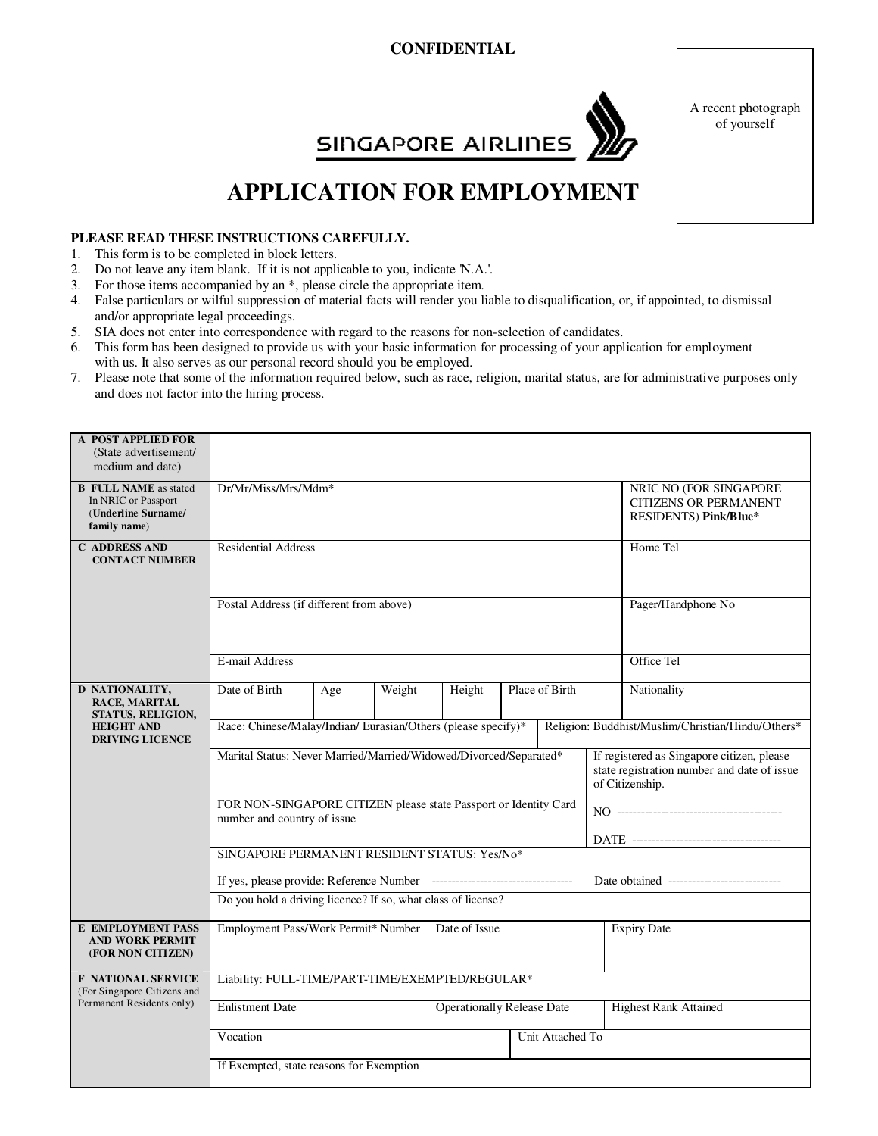## **CONFIDENTIAL**



A recent photograph of yourself

## **SINGAPORE AIRLINES**

## **APPLICATION FOR EMPLOYMENT**

## **PLEASE READ THESE INSTRUCTIONS CAREFULLY.**

- 1. This form is to be completed in block letters.
- 2. Do not leave any item blank. If it is not applicable to you, indicate 'N.A.'.
- 3. For those items accompanied by an \*, please circle the appropriate item.
- 4. False particulars or wilful suppression of material facts will render you liable to disqualification, or, if appointed, to dismissal and/or appropriate legal proceedings.
- 5. SIA does not enter into correspondence with regard to the reasons for non-selection of candidates.
- 6. This form has been designed to provide us with your basic information for processing of your application for employment with us. It also serves as our personal record should you be employed.
- 7. Please note that some of the information required below, such as race, religion, marital status, are for administrative purposes only and does not factor into the hiring process.

| A POST APPLIED FOR<br>(State advertisement/<br>medium and date)                            |                                                                                                 |     |                                                                                                              |                    |  |                |  |                                                                  |  |  |
|--------------------------------------------------------------------------------------------|-------------------------------------------------------------------------------------------------|-----|--------------------------------------------------------------------------------------------------------------|--------------------|--|----------------|--|------------------------------------------------------------------|--|--|
| <b>B</b> FULL NAME as stated<br>In NRIC or Passport<br>(Underline Surname/<br>family name) | Dr/Mr/Miss/Mrs/Mdm*                                                                             |     | NRIC NO (FOR SINGAPORE<br><b>CITIZENS OR PERMANENT</b><br>RESIDENTS) Pink/Blue*                              |                    |  |                |  |                                                                  |  |  |
| <b>C ADDRESS AND</b><br><b>CONTACT NUMBER</b>                                              | <b>Residential Address</b>                                                                      |     | Home Tel                                                                                                     |                    |  |                |  |                                                                  |  |  |
|                                                                                            | Postal Address (if different from above)                                                        |     |                                                                                                              | Pager/Handphone No |  |                |  |                                                                  |  |  |
|                                                                                            | E-mail Address                                                                                  |     |                                                                                                              | Office Tel         |  |                |  |                                                                  |  |  |
| D NATIONALITY,<br>RACE, MARITAL<br>STATUS, RELIGION,<br><b>HEIGHT AND</b>                  | Date of Birth<br>Race: Chinese/Malay/Indian/ Eurasian/Others (please specify)*                  | Age | Weight                                                                                                       | Height             |  | Place of Birth |  | Nationality<br>Religion: Buddhist/Muslim/Christian/Hindu/Others* |  |  |
| <b>DRIVING LICENCE</b>                                                                     |                                                                                                 |     |                                                                                                              |                    |  |                |  |                                                                  |  |  |
|                                                                                            | Marital Status: Never Married/Married/Widowed/Divorced/Separated*                               |     | If registered as Singapore citizen, please<br>state registration number and date of issue<br>of Citizenship. |                    |  |                |  |                                                                  |  |  |
|                                                                                            | FOR NON-SINGAPORE CITIZEN please state Passport or Identity Card<br>number and country of issue |     |                                                                                                              |                    |  |                |  |                                                                  |  |  |
|                                                                                            | SINGAPORE PERMANENT RESIDENT STATUS: Yes/No*                                                    |     |                                                                                                              |                    |  |                |  |                                                                  |  |  |
|                                                                                            | Date obtained ----------------------------                                                      |     |                                                                                                              |                    |  |                |  |                                                                  |  |  |
|                                                                                            | Do you hold a driving licence? If so, what class of license?                                    |     |                                                                                                              |                    |  |                |  |                                                                  |  |  |
| <b>E EMPLOYMENT PASS</b><br><b>AND WORK PERMIT</b><br>(FOR NON CITIZEN)                    | Employment Pass/Work Permit* Number                                                             |     |                                                                                                              | Date of Issue      |  |                |  | <b>Expiry Date</b>                                               |  |  |
| <b>F NATIONAL SERVICE</b><br>(For Singapore Citizens and                                   | Liability: FULL-TIME/PART-TIME/EXEMPTED/REGULAR*                                                |     |                                                                                                              |                    |  |                |  |                                                                  |  |  |
| Permanent Residents only)                                                                  | <b>Enlistment Date</b><br><b>Operationally Release Date</b>                                     |     |                                                                                                              |                    |  |                |  | <b>Highest Rank Attained</b>                                     |  |  |
|                                                                                            | Vocation<br>Unit Attached To                                                                    |     |                                                                                                              |                    |  |                |  |                                                                  |  |  |
|                                                                                            | If Exempted, state reasons for Exemption                                                        |     |                                                                                                              |                    |  |                |  |                                                                  |  |  |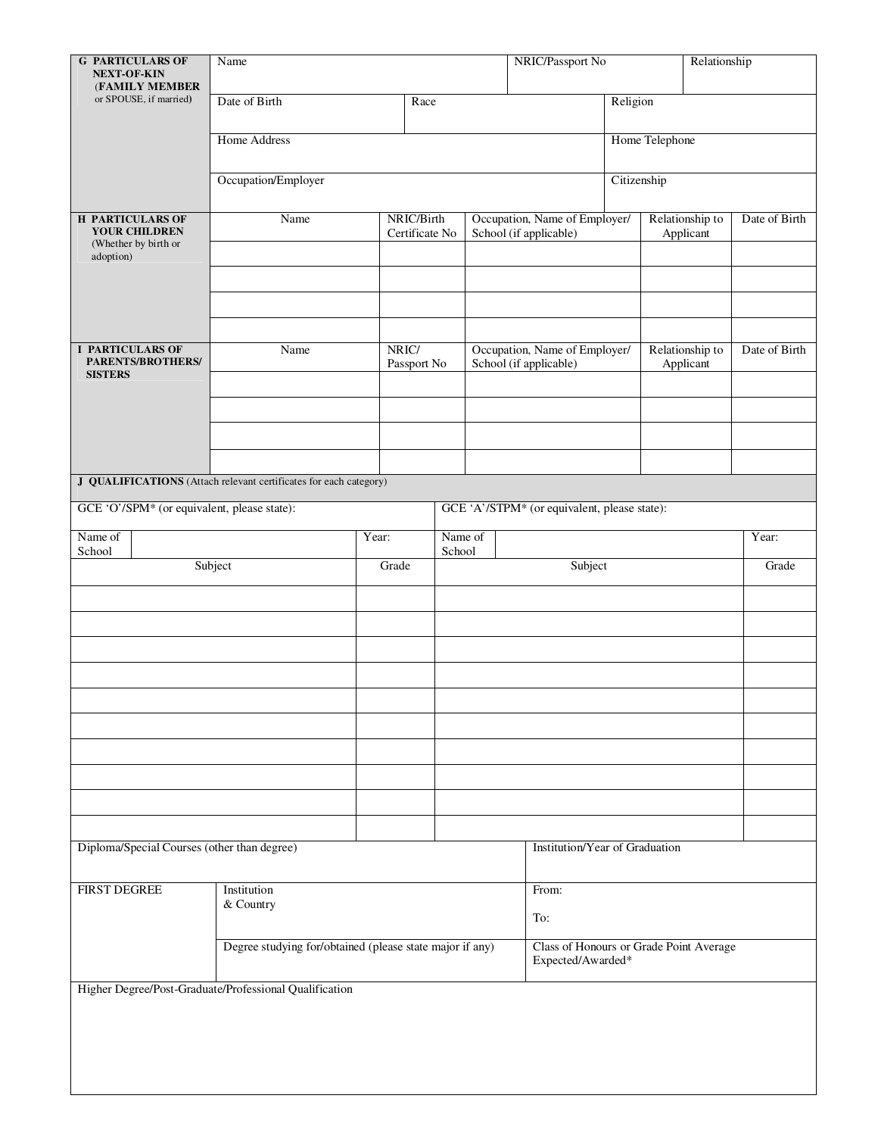| <b>G PARTICULARS OF</b>                                                       | NRIC/Passport No<br>Relationship<br>Name                          |                |                        |                                                         |                                              |          |                 |                                                              |               |  |  |  |
|-------------------------------------------------------------------------------|-------------------------------------------------------------------|----------------|------------------------|---------------------------------------------------------|----------------------------------------------|----------|-----------------|--------------------------------------------------------------|---------------|--|--|--|
| <b>NEXT-OF-KIN</b><br>(FAMILY MEMBER                                          |                                                                   |                |                        |                                                         |                                              |          |                 |                                                              |               |  |  |  |
| or SPOUSE, if married)                                                        | Date of Birth                                                     |                | Race                   |                                                         |                                              | Religion |                 |                                                              |               |  |  |  |
|                                                                               | Home Address                                                      |                | Home Telephone         |                                                         |                                              |          |                 |                                                              |               |  |  |  |
|                                                                               | Occupation/Employer                                               | Citizenship    |                        |                                                         |                                              |          |                 |                                                              |               |  |  |  |
| <b>H PARTICULARS OF</b>                                                       | Name                                                              |                | NRIC/Birth             |                                                         | Occupation, Name of Employer/                |          | Relationship to | Date of Birth                                                |               |  |  |  |
| YOUR CHILDREN<br>(Whether by birth or<br>adoption)                            |                                                                   | Certificate No | School (if applicable) |                                                         | Applicant                                    |          |                 |                                                              |               |  |  |  |
|                                                                               |                                                                   |                |                        |                                                         |                                              |          |                 |                                                              |               |  |  |  |
|                                                                               |                                                                   |                |                        |                                                         |                                              |          |                 |                                                              |               |  |  |  |
| <b>I PARTICULARS OF</b><br>Name<br>PARENTS/BROTHERS/<br><b>SISTERS</b>        |                                                                   |                | NRIC/<br>Passport No   | Occupation, Name of Employer/<br>School (if applicable) |                                              |          |                 | Relationship to<br>Applicant                                 | Date of Birth |  |  |  |
|                                                                               |                                                                   |                |                        |                                                         |                                              |          |                 |                                                              |               |  |  |  |
|                                                                               |                                                                   |                |                        |                                                         |                                              |          |                 |                                                              |               |  |  |  |
|                                                                               |                                                                   |                |                        |                                                         |                                              |          |                 |                                                              |               |  |  |  |
|                                                                               | J QUALIFICATIONS (Attach relevant certificates for each category) |                |                        |                                                         |                                              |          |                 |                                                              |               |  |  |  |
| GCE 'O'/SPM* (or equivalent, please state):                                   |                                                                   |                |                        |                                                         | GCE 'A'/STPM* (or equivalent, please state): |          |                 |                                                              |               |  |  |  |
| Name of<br>School                                                             |                                                                   | Year:          | School                 | Name of                                                 |                                              |          |                 |                                                              | Year:         |  |  |  |
|                                                                               | Subject                                                           | Grade          |                        |                                                         |                                              | Subject  |                 |                                                              | Grade         |  |  |  |
|                                                                               |                                                                   |                |                        |                                                         |                                              |          |                 |                                                              |               |  |  |  |
|                                                                               |                                                                   |                |                        |                                                         |                                              |          |                 |                                                              |               |  |  |  |
|                                                                               |                                                                   |                |                        |                                                         |                                              |          |                 |                                                              |               |  |  |  |
|                                                                               |                                                                   |                |                        |                                                         |                                              |          |                 |                                                              |               |  |  |  |
|                                                                               |                                                                   |                |                        |                                                         |                                              |          |                 |                                                              |               |  |  |  |
|                                                                               |                                                                   |                |                        |                                                         |                                              |          |                 |                                                              |               |  |  |  |
|                                                                               |                                                                   |                |                        |                                                         |                                              |          |                 |                                                              |               |  |  |  |
|                                                                               |                                                                   |                |                        |                                                         |                                              |          |                 |                                                              |               |  |  |  |
|                                                                               |                                                                   |                |                        |                                                         |                                              |          |                 |                                                              |               |  |  |  |
| Diploma/Special Courses (other than degree)<br>Institution/Year of Graduation |                                                                   |                |                        |                                                         |                                              |          |                 |                                                              |               |  |  |  |
|                                                                               |                                                                   |                |                        |                                                         |                                              |          |                 |                                                              |               |  |  |  |
| <b>FIRST DEGREE</b>                                                           | Institution<br>& Country                                          | From:          |                        |                                                         |                                              |          |                 |                                                              |               |  |  |  |
|                                                                               |                                                                   |                |                        | To:                                                     |                                              |          |                 |                                                              |               |  |  |  |
|                                                                               | Degree studying for/obtained (please state major if any)          |                |                        |                                                         |                                              |          |                 | Class of Honours or Grade Point Average<br>Expected/Awarded* |               |  |  |  |
|                                                                               | Higher Degree/Post-Graduate/Professional Qualification            |                |                        |                                                         |                                              |          |                 |                                                              |               |  |  |  |
|                                                                               |                                                                   |                |                        |                                                         |                                              |          |                 |                                                              |               |  |  |  |
|                                                                               |                                                                   |                |                        |                                                         |                                              |          |                 |                                                              |               |  |  |  |
|                                                                               |                                                                   |                |                        |                                                         |                                              |          |                 |                                                              |               |  |  |  |
|                                                                               |                                                                   |                |                        |                                                         |                                              |          |                 |                                                              |               |  |  |  |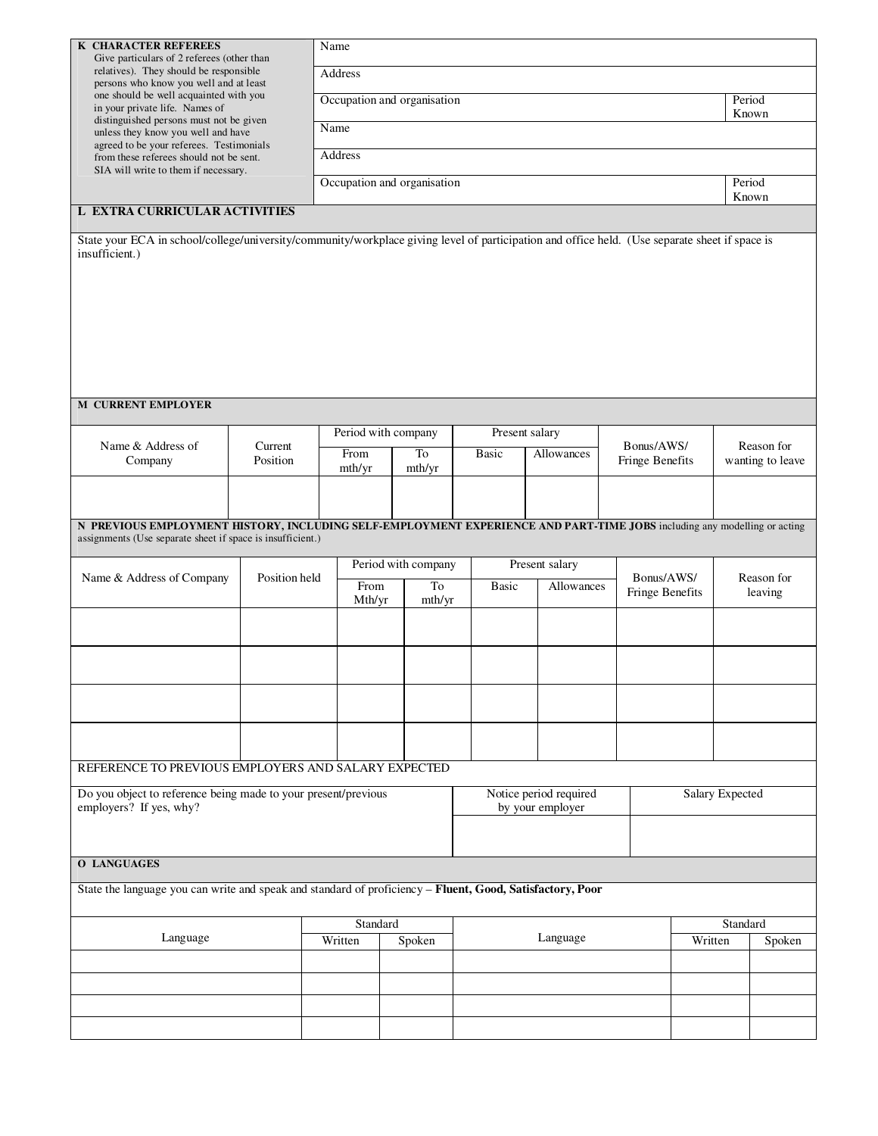| <b>K CHARACTER REFEREES</b><br>Give particulars of 2 referees (other than<br>relatives). They should be responsible<br>persons who know you well and at least<br>one should be well acquainted with you<br>in your private life. Names of<br>distinguished persons must not be given<br>unless they know you well and have<br>agreed to be your referees. Testimonials<br>from these referees should not be sent. |                     |  | Name                        |                                            |                            |                        |                               |        |        |                                |  |  |  |  |  |
|-------------------------------------------------------------------------------------------------------------------------------------------------------------------------------------------------------------------------------------------------------------------------------------------------------------------------------------------------------------------------------------------------------------------|---------------------|--|-----------------------------|--------------------------------------------|----------------------------|------------------------|-------------------------------|--------|--------|--------------------------------|--|--|--|--|--|
|                                                                                                                                                                                                                                                                                                                                                                                                                   |                     |  | Address                     |                                            |                            |                        |                               |        |        |                                |  |  |  |  |  |
|                                                                                                                                                                                                                                                                                                                                                                                                                   |                     |  | Occupation and organisation |                                            |                            |                        |                               |        |        |                                |  |  |  |  |  |
|                                                                                                                                                                                                                                                                                                                                                                                                                   |                     |  | Known<br>Name               |                                            |                            |                        |                               |        |        |                                |  |  |  |  |  |
|                                                                                                                                                                                                                                                                                                                                                                                                                   |                     |  | Address                     |                                            |                            |                        |                               |        |        |                                |  |  |  |  |  |
| SIA will write to them if necessary.                                                                                                                                                                                                                                                                                                                                                                              |                     |  | Occupation and organisation |                                            |                            |                        |                               | Period |        |                                |  |  |  |  |  |
| <b>L EXTRA CURRICULAR ACTIVITIES</b>                                                                                                                                                                                                                                                                                                                                                                              |                     |  |                             |                                            |                            |                        |                               |        |        | Known                          |  |  |  |  |  |
| State your ECA in school/college/university/community/workplace giving level of participation and office held. (Use separate sheet if space is<br>insufficient.)                                                                                                                                                                                                                                                  |                     |  |                             |                                            |                            |                        |                               |        |        |                                |  |  |  |  |  |
|                                                                                                                                                                                                                                                                                                                                                                                                                   |                     |  |                             |                                            |                            |                        |                               |        |        |                                |  |  |  |  |  |
|                                                                                                                                                                                                                                                                                                                                                                                                                   |                     |  |                             |                                            |                            |                        |                               |        |        |                                |  |  |  |  |  |
|                                                                                                                                                                                                                                                                                                                                                                                                                   |                     |  |                             |                                            |                            |                        |                               |        |        |                                |  |  |  |  |  |
|                                                                                                                                                                                                                                                                                                                                                                                                                   |                     |  |                             |                                            |                            |                        |                               |        |        |                                |  |  |  |  |  |
|                                                                                                                                                                                                                                                                                                                                                                                                                   |                     |  |                             |                                            |                            |                        |                               |        |        |                                |  |  |  |  |  |
| <b>M CURRENT EMPLOYER</b>                                                                                                                                                                                                                                                                                                                                                                                         |                     |  |                             |                                            |                            |                        |                               |        |        |                                |  |  |  |  |  |
|                                                                                                                                                                                                                                                                                                                                                                                                                   |                     |  |                             | Period with company                        |                            | Present salary         |                               |        |        |                                |  |  |  |  |  |
| Name & Address of<br>Company                                                                                                                                                                                                                                                                                                                                                                                      | Current<br>Position |  | From                        | To<br>mth/yr                               | <b>Basic</b>               | Allowances             | Bonus/AWS/<br>Fringe Benefits |        |        | Reason for<br>wanting to leave |  |  |  |  |  |
|                                                                                                                                                                                                                                                                                                                                                                                                                   |                     |  | mth/yr                      |                                            |                            |                        |                               |        |        |                                |  |  |  |  |  |
|                                                                                                                                                                                                                                                                                                                                                                                                                   |                     |  |                             |                                            |                            |                        |                               |        |        |                                |  |  |  |  |  |
| N PREVIOUS EMPLOYMENT HISTORY, INCLUDING SELF-EMPLOYMENT EXPERIENCE AND PART-TIME JOBS including any modelling or acting<br>assignments (Use separate sheet if space is insufficient.)                                                                                                                                                                                                                            |                     |  |                             |                                            |                            |                        |                               |        |        |                                |  |  |  |  |  |
|                                                                                                                                                                                                                                                                                                                                                                                                                   |                     |  |                             | Period with company                        |                            | Present salary         |                               |        |        |                                |  |  |  |  |  |
| Name & Address of Company                                                                                                                                                                                                                                                                                                                                                                                         | Position held       |  | From                        | To                                         | <b>Basic</b><br>Allowances |                        | Bonus/AWS/<br>Fringe Benefits |        |        | Reason for<br>leaving          |  |  |  |  |  |
|                                                                                                                                                                                                                                                                                                                                                                                                                   |                     |  | Mth/yr                      | mth/yr                                     |                            |                        |                               |        |        |                                |  |  |  |  |  |
|                                                                                                                                                                                                                                                                                                                                                                                                                   |                     |  |                             |                                            |                            |                        |                               |        |        |                                |  |  |  |  |  |
|                                                                                                                                                                                                                                                                                                                                                                                                                   |                     |  |                             |                                            |                            |                        |                               |        |        |                                |  |  |  |  |  |
|                                                                                                                                                                                                                                                                                                                                                                                                                   |                     |  |                             |                                            |                            |                        |                               |        |        |                                |  |  |  |  |  |
|                                                                                                                                                                                                                                                                                                                                                                                                                   |                     |  |                             |                                            |                            |                        |                               |        |        |                                |  |  |  |  |  |
|                                                                                                                                                                                                                                                                                                                                                                                                                   |                     |  |                             |                                            |                            |                        |                               |        |        |                                |  |  |  |  |  |
| REFERENCE TO PREVIOUS EMPLOYERS AND SALARY EXPECTED                                                                                                                                                                                                                                                                                                                                                               |                     |  |                             |                                            |                            |                        |                               |        |        |                                |  |  |  |  |  |
| Do you object to reference being made to your present/previous<br>employers? If yes, why?                                                                                                                                                                                                                                                                                                                         |                     |  |                             | Notice period required<br>by your employer |                            | <b>Salary Expected</b> |                               |        |        |                                |  |  |  |  |  |
|                                                                                                                                                                                                                                                                                                                                                                                                                   |                     |  |                             |                                            |                            |                        |                               |        |        |                                |  |  |  |  |  |
| <b>O LANGUAGES</b>                                                                                                                                                                                                                                                                                                                                                                                                |                     |  |                             |                                            |                            |                        |                               |        |        |                                |  |  |  |  |  |
| State the language you can write and speak and standard of proficiency - Fluent, Good, Satisfactory, Poor                                                                                                                                                                                                                                                                                                         |                     |  |                             |                                            |                            |                        |                               |        |        |                                |  |  |  |  |  |
|                                                                                                                                                                                                                                                                                                                                                                                                                   |                     |  |                             |                                            |                            |                        |                               |        |        |                                |  |  |  |  |  |
| Language                                                                                                                                                                                                                                                                                                                                                                                                          |                     |  | Standard<br>Written         | Spoken                                     |                            |                        | Standard<br>Written           |        | Spoken |                                |  |  |  |  |  |
|                                                                                                                                                                                                                                                                                                                                                                                                                   |                     |  |                             |                                            |                            | Language               |                               |        |        |                                |  |  |  |  |  |
|                                                                                                                                                                                                                                                                                                                                                                                                                   |                     |  |                             |                                            |                            |                        |                               |        |        |                                |  |  |  |  |  |
|                                                                                                                                                                                                                                                                                                                                                                                                                   |                     |  |                             |                                            |                            |                        |                               |        |        |                                |  |  |  |  |  |
|                                                                                                                                                                                                                                                                                                                                                                                                                   |                     |  |                             |                                            |                            |                        |                               |        |        |                                |  |  |  |  |  |